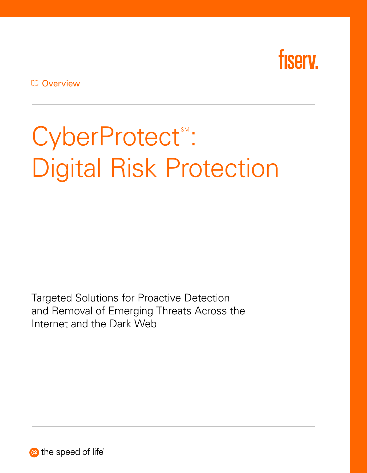

**D** Overview

# CyberProtect": Digital Risk Protection

Targeted Solutions for Proactive Detection and Removal of Emerging Threats Across the Internet and the Dark Web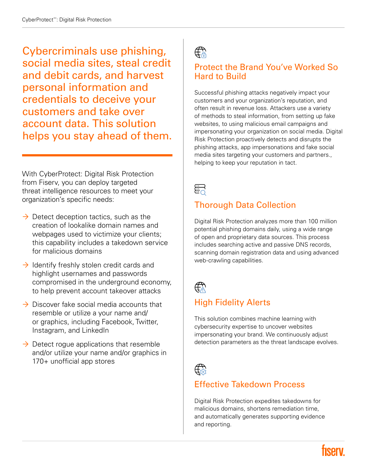Cybercriminals use phishing, social media sites, steal credit and debit cards, and harvest personal information and credentials to deceive your customers and take over account data. This solution helps you stay ahead of them.

With CyberProtect: Digital Risk Protection from Fiserv, you can deploy targeted threat intelligence resources to meet your organization's specific needs:

- $\rightarrow$  Detect deception tactics, such as the creation of lookalike domain names and webpages used to victimize your clients; this capability includes a takedown service for malicious domains
- $\rightarrow$  Identify freshly stolen credit cards and highlight usernames and passwords compromised in the underground economy, to help prevent account takeover attacks
- $\rightarrow$  Discover fake social media accounts that resemble or utilize a your name and/ or graphics, including Facebook, Twitter, Instagram, and LinkedIn
- $\rightarrow$  Detect rogue applications that resemble and/or utilize your name and/or graphics in 170+ unofficial app stores

 $\bigoplus_{n=1}^{\infty}$ 

#### Protect the Brand You've Worked So Hard to Build

Successful phishing attacks negatively impact your customers and your organization's reputation, and often result in revenue loss. Attackers use a variety of methods to steal information, from setting up fake websites, to using malicious email campaigns and impersonating your organization on social media. Digital Risk Protection proactively detects and disrupts the phishing attacks, app impersonations and fake social media sites targeting your customers and partners., helping to keep your reputation in tact.



# Thorough Data Collection

Digital Risk Protection analyzes more than 100 million potential phishing domains daily, using a wide range of open and proprietary data sources. This process includes searching active and passive DNS records, scanning domain registration data and using advanced web-crawling capabilities.



## High Fidelity Alerts

This solution combines machine learning with cybersecurity expertise to uncover websites impersonating your brand. We continuously adjust detection parameters as the threat landscape evolves.



#### Effective Takedown Process

Digital Risk Protection expedites takedowns for malicious domains, shortens remediation time, and automatically generates supporting evidence and reporting.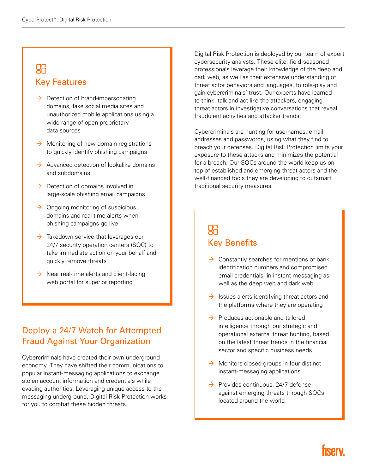# $R<sub>2</sub>$ Key Features

- $\rightarrow$  Detection of brand-impersonating domains, fake social media sites and unauthorized mobile applications using a wide range of open proprietary data sources
- $\rightarrow$  Monitoring of new domain registrations to quickly identify phishing campaigns
- $\rightarrow$  Advanced detection of lookalike domains and subdomains
- $\rightarrow$  Detection of domains involved in large-scale phishing email campaigns
- $\rightarrow$  Ongoing monitoring of suspicious domains and real-time alerts when phishing campaigns go live
- $\rightarrow$  Takedown service that leverages our 24/7 security operation centers (SOC) to take immediate action on your behalf and quickly remove threats
- $\rightarrow$  Near real-time alerts and client-facing web portal for superior reporting

#### Deploy a 24/7 Watch for Attempted Fraud Against Your Organization

Cybercriminals have created their own underground economy. They have shifted their communications to popular instant-messaging applications to exchange stolen account information and credentials while evading authorities. Leveraging unique access to the messaging underground, Digital Risk Protection works for you to combat these hidden threats.

Digital Risk Protection is deployed by our team of expert cybersecurity analysts. These elite, field-seasoned professionals leverage their knowledge of the deep and dark web, as well as their extensive understanding of threat actor behaviors and languages, to role-play and gain cybercriminals' trust. Our experts have learned to think, talk and act like the attackers, engaging threat actors in investigative conversations that reveal fraudulent activities and attacker trends.

Cybercriminals are hunting for usernames, email addresses and passwords, using what they find to breach your defenses. Digital Risk Protection limits your exposure to these attacks and minimizes the potential for a breach. Our SOCs around the world keep us on top of established and emerging threat actors and the well-financed tools they are developing to outsmart traditional security measures.

## 88 Key Benefits

- $\rightarrow$  Constantly searches for mentions of bank identification numbers and compromised email credentials, in instant messaging as well as the deep web and dark web
- $\rightarrow$  Issues alerts identifying threat actors and the platforms where they are operating
- $\rightarrow$  Produces actionable and tailored intelligence through our strategic and operational external threat hunting, based on the latest threat trends in the financial sector and specific business needs
- $\rightarrow$  Monitors closed groups in four distinct instant-messaging applications
- $\rightarrow$  Provides continuous, 24/7 defense against emerging threats through SOCs located around the world